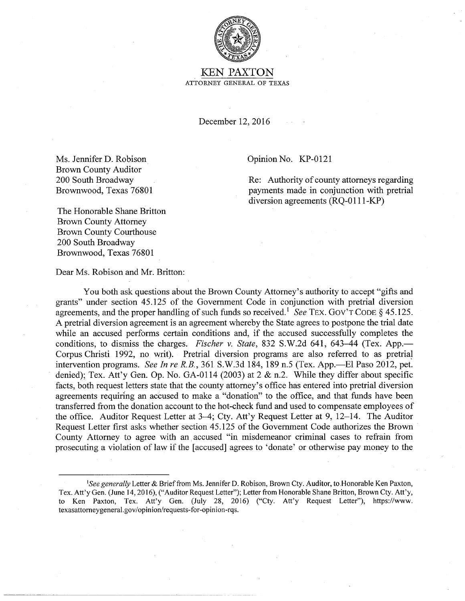

KEN PAXTON ATTORNEY GENERAL OF TEXAS

December 12, 2016

Ms. Jennifer D. Robison Brown County Auditor 200 South Broadway Brownwood, Texas 76801 Opinion No. KP-0121

Re: Authority of county attorneys regarding payments made in conjunction with pretrial diversion agreements (RQ-0111-KP)

The Honorable Shane Britton Brown County Attorney Brown County Courthouse 200 South Broadway Brownwood, Texas 76801

Dear Ms. Robison and Mr. Britton:

You both ask questions about the Brown County Attorney's authority to accept "gifts and grants" under section 45.125 of the Government Code in conjunction with pretrial diversion agreements, and the proper handling of such funds so received.<sup>1</sup> See TEX. GOV'T CODE  $\S$  45.125. A pretrial diversion agreement is an agreement whereby the State agrees to postpone the trial date while an accused performs certain conditions and, if the accused successfully completes the conditions, to dismiss the charges. *Fischer v. State*, 832 S.W.2d 641, 643–44 (Tex. App.— Corpus Christi 1992, no writ). Pretrial diversion programs are also referred to as pretrial intervention programs. *See In re R.B.*, 361 S.W.3d 184, 189 n.5 (Tex. App.—El Paso 2012, pet. denied); Tex. Att'y Gen. Op. No. GA-0114 (2003) at  $2 \& n.2$ . While they differ about specific facts, both request letters state that the county attorney's office has entered into pretrial diversion agreements requiring an accused to make a "donation" to the office, and that funds have been transferred from the donation account to the hot-check fund and used to compensate employees of the office. Auditor Request Letter at 3-4; Cty. Att'y Request Letter at 9, 12-14. The Auditor Request Letter first asks whether section 45.125 of the Government Code authorizes the Brown County Attorney to agree with an accused "in misdemeanor criminal cases to refrain from prosecuting a violation of law if the [accused] agrees to 'donate' or otherwise pay money to the

*<sup>&#</sup>x27;See generally* Letter & Brief from Ms. Jennifer D. Robison, Brown Cty. Auditor, to Honorable Ken Paxton, Tex. Att'y Gen. (June 14, 2016), ("Auditor Request Letter"); Letter from Honorable Shane Britton, Brown Cty. Att'y, to Ken Paxton, Tex. Att'y Gen. (July 28, 2016) ("Cty. Att'y Request Letter"), https://www. texasattomeygeneral.gov/opinion/requests-for-opinion-rqs.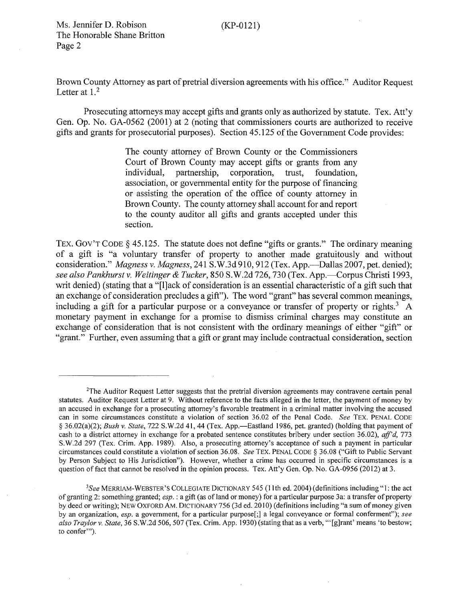(KP-0121)

Ms. Jennifer D. Robison The Honorable Shane Britton Page 2

Brown County Attorney as part of pretrial diversion agreements with his office." Auditor Request Letter at  $1<sup>2</sup>$ 

Prosecuting attorneys may accept gifts and grants only as authorized by statute. Tex. Att'y Gen. Op. No. GA-0562 (2001) at 2 (noting that commissioners courts are authorized to receive gifts and grants for prosecutorial purposes). Section 45.125 of the Government Code provides:

> The county attorney of Brown County or the Commissioners Court of Brown County may accept gifts or grants from any individual, partnership, corporation, trust, foundation, corporation, trust, foundation, association, or governmental entity for the purpose of financing or assisting the operation of the office of county attorney in Brown County. The county attorney shall account for and report to the county auditor all gifts and grants accepted under this section.

TEX. GOV'T CODE § 45.125. The statute does not define "gifts or grants." The ordinary meaning of a gift is "a voluntary transfer of property to another made gratuitously and without consideration." *Magness v. Magness*, 241 S.W.3d 910, 912 (Tex. App.—Dallas 2007, pet. denied); *see also Pankhurst v. Weitinger* & *Tucker,* 850 S.W.2d 726, 730 (Tex. App.-Corpus Christi 1993, writ denied) (stating that a "[l]ack of consideration is an essential characteristic of a gift such that an exchange of consideration precludes a gift"). The word "grant" has several common meanings, including a gift for a particular purpose or a conveyance or transfer of property or rights.<sup>3</sup> A monetary payment in exchange for a promise to dismiss criminal charges may constitute an exchange of consideration that is not consistent with the ordinary meanings of either "gift" or "grant." Further, even assuming that a gift or grant may include contractual consideration, section

<sup>&</sup>lt;sup>2</sup>The Auditor Request Letter suggests that the pretrial diversion agreements may contravene certain penal statutes. Auditor Request Letter at 9. Without reference to the facts alleged in the letter, the payment of money by an accused in exchange for a prosecuting attorney's favorable treatment in a criminal matter involving the accused can in some circumstances constitute a violation of section 36.02 of the Penal Code. *See* TEX. PENAL CODE § 36.02(a)(2); *Bush v. State*, 722 S.W.2d 41, 44 (Tex. App.—Eastland 1986, pet. granted) (holding that payment of cash to a district attorney in exchange for a probated sentence constitutes bribery under section 36.02), *ajf'd,* 773 S. W.2d 297 (Tex. Crim. App. 1989). Also, a prosecuting attorney's acceptance of such a payment in particular circumstances could constitute a violation of section 36.08. *See* TEX. PENAL CODE § 36.08 ("Gift to Public Servant by Person Subject to His Jurisdiction"). However, whether a crime has occurred in specific circumstances is a question of fact that cannot be resolved in the opinion process. Tex. Att'y Gen. Op. No. GA-0956 (2012) at 3.

*<sup>3</sup> See* MERRIAM-WEBSTER'S COLLEGIATE DICTIONARY 545 (11th ed. 2004) (definitions including"]: the act of granting 2: something granted; *esp.:* a gift (as of land or money) for a particular purpose 3a: a transfer of property by deed or writing); NEW OXFORD AM. DICTIONARY 756 (3d ed. 2010) (definitions including "a sum of money given by an organization, *esp.* a government, for a particular purpose[;] a legal conveyance or formal conferment"); *see also Traylor v. State,* 36 S. W.2d 506, 507 (Tex. Crim. App. 1930) (stating that as a verb, '"[g]rant' means 'to bestow; to confer"').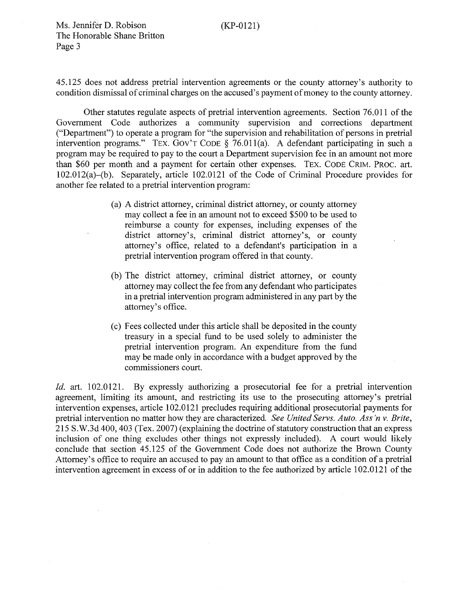Ms. Jennifer D. Robison The Honorable Shane Britton Page 3

45.125 does not address pretrial intervention agreements or the county attorney's authority to condition dismissal of criminal charges on the accused's payment of money to the county attorney.

Other statutes regulate aspects of pretrial intervention agreements. Section 76.011 of the Government Code authorizes a community supervision and corrections department ("Department") to operate a program for "the supervision and rehabilitation of persons in pretrial intervention programs." TEX. Gov'T CODE § 76.01 l(a). A defendant participating in such a program may be required to pay to the court a Department supervision fee in an amount not more than \$60 per month and a payment for certain other expenses. TEX. CODE CRIM. PROC. art. 102.012(a)-(b). Separately, article 102.0121 of the Code of Criminal Procedure provides for another fee related to a pretrial intervention program:

- (a) A district attorney, criminal district attorney, or county attorney may collect a fee in an amount not to exceed \$500 to be used to reimburse a county for expenses, including expenses of the district attorney's, criminal district attorney's, or county attorney's office, related to a defendant's participation in a pretrial intervention program offered in that county.
- (b) The district attorney, criminal district attorney, or county attorney may collect the fee from any defendant who participates in a pretrial intervention program administered in any part by the attorney's office.
- (c) Fees collected under this article shall be deposited in the county treasury in a special fund to be used solely to administer the pretrial intervention program. An expenditure from the fund may be made only in accordance with a budget approved by the commissioners court.

*Id.* art. 102.0121. By expressly authorizing a prosecutorial fee for a pretrial intervention agreement, limiting its amount, and restricting its use to the prosecuting attorney's pretrial intervention expenses, article 102.0121 precludes requiring additional prosecutorial payments for pretrial intervention no matter how they are characterized. *See United Servs. Auto. Ass 'n v. Brite,*  215 S.W.3d 400, 403 (Tex. 2007) (explaining the doctrine of statutory construction that an express inclusion of one thing excludes other things not expressly included). A court would likely conclude that section 45.125 of the Government Code does not authorize the Brown County Attorney's office to require an accused to pay an amount to that office as a condition of a pretrial intervention agreement in excess of or in addition to the fee authorized by article 102.0121 of the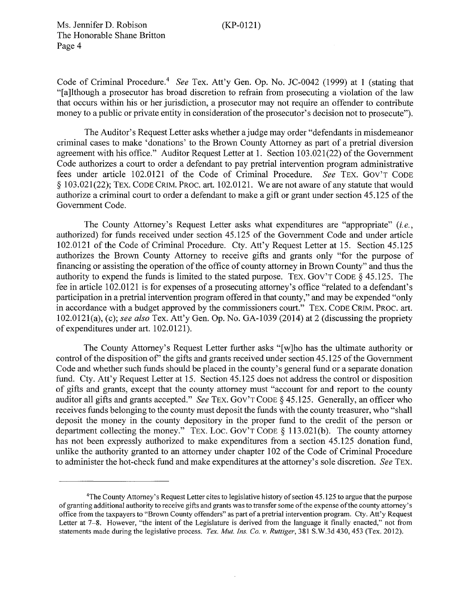Ms. Jennifer D. Robison The Honorable Shane Britton Page 4

Code of Criminal Procedure.4 *See* Tex. Att'y Gen. Op. No. JC-0042 (1999) at 1 (stating that "[a]lthough a prosecutor has broad discretion to refrain from prosecuting a violation of the law that occurs within his or her jurisdiction, a prosecutor may not require an offender to contribute money to a public or private entity in consideration of the prosecutor's decision not to prosecute").

The Auditor's Request Letter asks whether a judge may order "defendants in misdemeanor criminal cases to make 'donations' to the Brown County Attorney as part of a pretrial diversion agreement with his office." Auditor Request Letter at 1. Section 103.021(22) of the Government Code authorizes a court to order a defendant to pay pretrial intervention program administrative fees under article 102.0121 of the Code of Criminal Procedure. *See* TEX. Gov'T CODE § 103.021(22); TEX. CODE CRIM. PROC. art. 102.0121. We are not aware of any statute that would authorize a criminal court to order a defendant to make a gift or grant under section 45.125 of the Government Code.

The County Attorney's Request Letter asks what expenditures are "appropriate" *(i.e.,*  authorized) for funds received under section 45.125 of the Government Code and under article 102.0121 of the Code of Criminal Procedure. Cty. Att'y Request Letter at 15. Section 45.125 authorizes the Brown County Attorney to receive gifts and grants only "for the purpose of financing or assisting the operation of the office of county attorney in Brown County" and thus the authority to expend the funds is limited to the stated purpose. TEX. Gov'T CODE§ 45.125. The fee in article 102.0121 is for expenses of a prosecuting attorney's office "related to a defendant's participation in a pretrial intervention program offered in that county," and may be expended "only in accordance with a budget approved by the commissioners court." TEX. CODE CRIM. PROC. art. 102.0121(a), (c); *see also* Tex. Att'y Gen. Op. No. GA-1039 (2014) at 2 (discussing the propriety of expenditures under art. 102.0121).

The County Attorney's Request Letter further asks "[w]ho has the ultimate authority or control of the disposition of' the gifts and grants received under section 45.125 of the Government Code and whether such funds should be placed in the county's general fund or a separate donation fund. Cty. Att'y Request Letter at 15. Section 45.125 does not address the control or disposition of gifts and grants, except that the county attorney must "account for and report to the county auditor all gifts and grants accepted." *See* TEX. Gov'T CODE § 45.125. Generally, an officer who receives funds belonging to the county must deposit the funds with the county treasurer, who "shall deposit the money in the county depository in the proper fund to the credit of the person or department collecting the money." TEX. LOC. GOV'T CODE § 113.021(b). The county attorney has not been expressly authorized to make expenditures from a section 45.125 donation fund, unlike the authority granted to an attorney under chapter 102 of the Code of Criminal Procedure to administer the hot-check fund and make expenditures at the attorney's sole discretion. *See* TEX.

<sup>4</sup> The County Attorney's Request Letter cites to legislative history of section 45.125 to argue that the purpose of granting additional authority to receive gifts and grants was to transfer some of the expense of the county attorney's office from the taxpayers to "Brown County offenders" as part of a pretrial intervention program. Cty. Att'y Request Letter at 7–8. However, "the intent of the Legislature is derived from the language it finally enacted," not from statements made during the legislative process. *Tex. Mut. Ins. Co. v. Ruttiger,* 3 81 S. W.3d 430, 453 (Tex. 2012).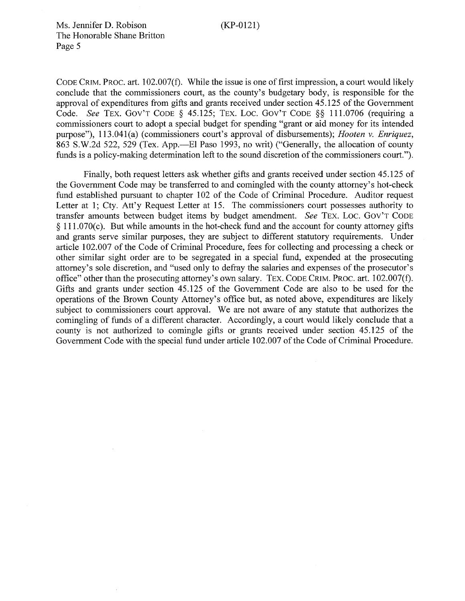Ms. Jennifer D. Robison The Honorable Shane Britton Page 5

CODE CRIM. PROC. art. 102.007(£). While the issue is one of first impression, a court would likely conclude that the commissioners court, as the county's budgetary body, is responsible for the approval of expenditures from gifts and grants received under section 45.125 of the Government Code. *See* TEX. GOV'T CODE § 45.125; TEX. LOC. GOV'T CODE §§ 111.0706 (requiring a commissioners court to adopt a special budget for spending "grant or aid money for its intended purpose"), 113.041(a) (commissioners court's approval of disbursements); *Hooten v. Enriquez*, 863 S.W.2d 522, 529 (Tex. App.—El Paso 1993, no writ) ("Generally, the allocation of county funds is a policy-making determination left to the sound discretion of the commissioners court.").

Finally, both request letters ask whether gifts and grants received under section 45.125 of the Government Code may be transferred to and comingled with the county attorney's hot-check fund established pursuant to chapter 102 of the Code of Criminal Procedure. Auditor request Letter at 1; Cty. Att'y Request Letter at 15. The commissioners court possesses authority to transfer amounts between budget items by budget amendment. *See* TEX. Loe. Gov'T CODE  $§$  111.070(c). But while amounts in the hot-check fund and the account for county attorney gifts and grants serve similar purposes, they are subject to different statutory requirements. Under article 102.007 of the Code of Criminal Procedure, fees for collecting and processing a check or other similar sight order are to be segregated in a special fund, expended at the prosecuting attorney's sole discretion, and "used only to defray the salaries and expenses of the prosecutor's office" other than the prosecuting attorney's own salary. TEX. CODE CRIM. PROC. art. 102.007(f). Gifts and grants under section 45.125 of the Government Code are also to be used for the operations of the Brown County Attorney's office but, as noted above, expenditures are likely subject to commissioners court approval. We are not aware of any statute that authorizes the comingling of funds of a different character. Accordingly, a court would likely conclude that a county is not authorized to comingle gifts or grants received under section 45.125 of the Government Code with the special fund under article 102.007 of the Code of Criminal Procedure.